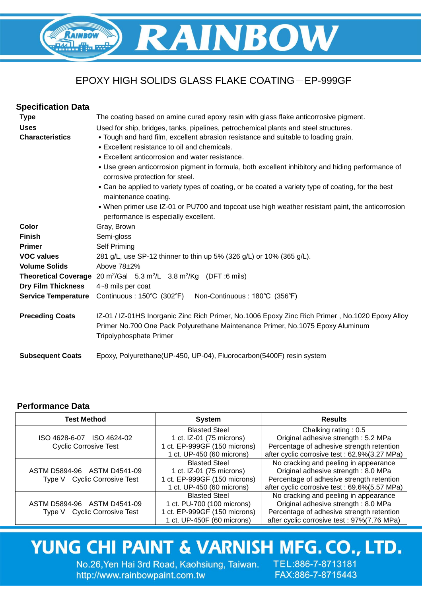

# EPOXY HIGH SOLIDS GLASS FLAKE COATING-EP-999GF

| <b>Specification Data</b>  |                                                                                                                                                                                                                     |  |  |
|----------------------------|---------------------------------------------------------------------------------------------------------------------------------------------------------------------------------------------------------------------|--|--|
| <b>Type</b>                | The coating based on amine cured epoxy resin with glass flake anticorrosive pigment.                                                                                                                                |  |  |
| <b>Uses</b>                | Used for ship, bridges, tanks, pipelines, petrochemical plants and steel structures.                                                                                                                                |  |  |
| <b>Characteristics</b>     | . Tough and hard film, excellent abrasion resistance and suitable to loading grain.                                                                                                                                 |  |  |
|                            | • Excellent resistance to oil and chemicals.                                                                                                                                                                        |  |  |
|                            | • Excellent anticorrosion and water resistance.                                                                                                                                                                     |  |  |
|                            | • Use green anticorrosion pigment in formula, both excellent inhibitory and hiding performance of<br>corrosive protection for steel.                                                                                |  |  |
|                            | • Can be applied to variety types of coating, or be coated a variety type of coating, for the best<br>maintenance coating.                                                                                          |  |  |
|                            | • When primer use IZ-01 or PU700 and topcoat use high weather resistant paint, the anticorrosion<br>performance is especially excellent.                                                                            |  |  |
| Color                      | Gray, Brown                                                                                                                                                                                                         |  |  |
| <b>Finish</b>              | Semi-gloss                                                                                                                                                                                                          |  |  |
| <b>Primer</b>              | Self Priming                                                                                                                                                                                                        |  |  |
| <b>VOC values</b>          | 281 g/L, use SP-12 thinner to thin up 5% (326 g/L) or 10% (365 g/L).                                                                                                                                                |  |  |
| <b>Volume Solids</b>       | Above $78+2\%$                                                                                                                                                                                                      |  |  |
|                            | <b>Theoretical Coverage</b> 20 $m^2/Gal$ 5.3 $m^2/L$ 3.8 $m^2/Kg$ (DFT :6 mils)                                                                                                                                     |  |  |
| <b>Dry Film Thickness</b>  | 4~8 mils per coat                                                                                                                                                                                                   |  |  |
| <b>Service Temperature</b> | Non-Continuous: 180°C (356°F)<br>Continuous: 150°C (302°F)                                                                                                                                                          |  |  |
| <b>Preceding Coats</b>     | IZ-01 / IZ-01HS Inorganic Zinc Rich Primer, No.1006 Epoxy Zinc Rich Primer, No.1020 Epoxy Alloy<br>Primer No.700 One Pack Polyurethane Maintenance Primer, No.1075 Epoxy Aluminum<br><b>Tripolyphosphate Primer</b> |  |  |
| <b>Subsequent Coats</b>    | Epoxy, Polyurethane(UP-450, UP-04), Fluorocarbon(5400F) resin system                                                                                                                                                |  |  |

### **Performance Data**

| <b>Test Method</b>                     | <b>System</b>                | <b>Results</b>                                |
|----------------------------------------|------------------------------|-----------------------------------------------|
|                                        | <b>Blasted Steel</b>         | Chalking rating: 0.5                          |
| ISO 4628-6-07 ISO 4624-02              | 1 ct. IZ-01 (75 microns)     | Original adhesive strength: 5.2 MPa           |
| <b>Cyclic Corrosive Test</b>           | 1 ct. EP-999GF (150 microns) | Percentage of adhesive strength retention     |
|                                        | 1 ct. UP-450 (60 microns)    | after cyclic corrosive test: 62.9%(3.27 MPa)  |
|                                        | <b>Blasted Steel</b>         | No cracking and peeling in appearance         |
| ASTM D5894-96 ASTM D4541-09            | 1 ct. IZ-01 (75 microns)     | Original adhesive strength: 8.0 MPa           |
| Type V Cyclic Corrosive Test           | 1 ct. EP-999GF (150 microns) | Percentage of adhesive strength retention     |
|                                        | 1 ct. UP-450 (60 microns)    | after cyclic corrosive test : 69.6%(5.57 MPa) |
|                                        | <b>Blasted Steel</b>         | No cracking and peeling in appearance         |
| ASTM D5894-96 ASTM D4541-09            | 1 ct. PU-700 (100 microns)   | Original adhesive strength: 8.0 MPa           |
| <b>Cyclic Corrosive Test</b><br>Tvpe V | 1 ct. EP-999GF (150 microns) | Percentage of adhesive strength retention     |
|                                        | 1 ct. UP-450F (60 microns)   | after cyclic corrosive test: 97%(7.76 MPa)    |

# YUNG CHI PAINT & VARNISH MFG. CO., LTD.

No.26, Yen Hai 3rd Road, Kaohsiung, Taiwan. TEL:886-7-8713181 http://www.rainbowpaint.com.tw

FAX:886-7-8715443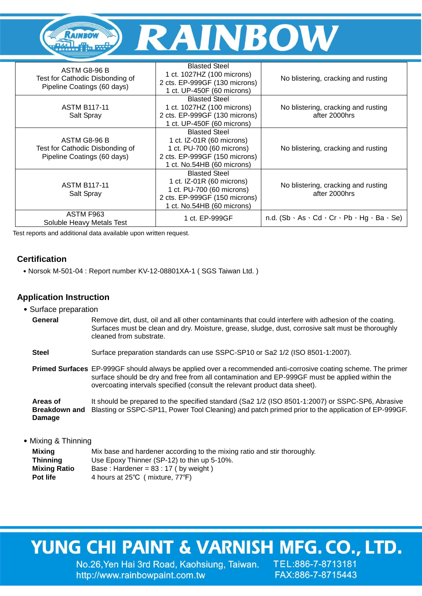

| ASTM G8-96 B<br>Test for Cathodic Disbonding of<br>Pipeline Coatings (60 days) | <b>Blasted Steel</b><br>1 ct. 1027HZ (100 microns)<br>2 cts. EP-999GF (130 microns)<br>1 ct. UP-450F (60 microns)                               | No blistering, cracking and rusting                                        |
|--------------------------------------------------------------------------------|-------------------------------------------------------------------------------------------------------------------------------------------------|----------------------------------------------------------------------------|
| <b>ASTM B117-11</b><br>Salt Spray                                              | <b>Blasted Steel</b><br>1 ct. 1027HZ (100 microns)<br>2 cts. EP-999GF (130 microns)<br>1 ct. UP-450F (60 microns)                               | No blistering, cracking and rusting<br>after 2000hrs                       |
| ASTM G8-96 B<br>Test for Cathodic Disbonding of<br>Pipeline Coatings (60 days) | <b>Blasted Steel</b><br>1 ct. IZ-01R (60 microns)<br>1 ct. PU-700 (60 microns)<br>2 cts. EP-999GF (150 microns)<br>1 ct. No.54HB (60 microns)   | No blistering, cracking and rusting                                        |
| <b>ASTM B117-11</b><br>Salt Spray                                              | <b>Blasted Steel</b><br>1 ct. $IZ-01R$ (60 microns)<br>1 ct. PU-700 (60 microns)<br>2 cts. EP-999GF (150 microns)<br>1 ct. No.54HB (60 microns) | No blistering, cracking and rusting<br>after 2000hrs                       |
| ASTM F963<br>Soluble Heavy Metals Test                                         | 1 ct. EP-999GF                                                                                                                                  | n.d. $(Sb \cdot As \cdot Cd \cdot Cr \cdot Pb \cdot Hg \cdot Ba \cdot Se)$ |

Test reports and additional data available upon written request.

## **Certification**

˙Norsok M-501-04 : Report number KV-12-08801XA-1 ( SGS Taiwan Ltd. )

### **Application Instruction**

- ˙Surface preparation
	- General Remove dirt, dust, oil and all other contaminants that could interfere with adhesion of the coating. Surfaces must be clean and dry. Moisture, grease, sludge, dust, corrosive salt must be thoroughly cleaned from substrate.
	- **Steel** Surface preparation standards can use SSPC-SP10 or Sa2 1/2 (ISO 8501-1:2007).
	- **Primed Surfaces** EP-999GF should always be applied over a recommended anti-corrosive coating scheme. The primer surface should be dry and free from all contamination and EP-999GF must be applied within the overcoating intervals specified (consult the relevant product data sheet).

**Areas of Breakdown and**  Blasting or SSPC-SP11, Power Tool Cleaning) and patch primed prior to the application of EP-999GF. **Damage** It should be prepared to the specified standard (Sa2 1/2 (ISO 8501-1:2007) or SSPC-SP6, Abrasive

• Mixing & Thinning

| Mixina       | Mix base and hardener according to the mixing ratio and stir thoroughly. |
|--------------|--------------------------------------------------------------------------|
| Thinnina     | Use Epoxy Thinner (SP-12) to thin up 5-10%.                              |
| Mixing Ratio | Base: Hardener = $83:17$ (by weight)                                     |
| Pot life     | 4 hours at 25°C (mixture, 77°F)                                          |

# YUNG CHI PAINT & VARNISH MFG. CO., LTD.

No.26, Yen Hai 3rd Road, Kaohsiung, Taiwan. http://www.rainbowpaint.com.tw

TEL:886-7-8713181 FAX:886-7-8715443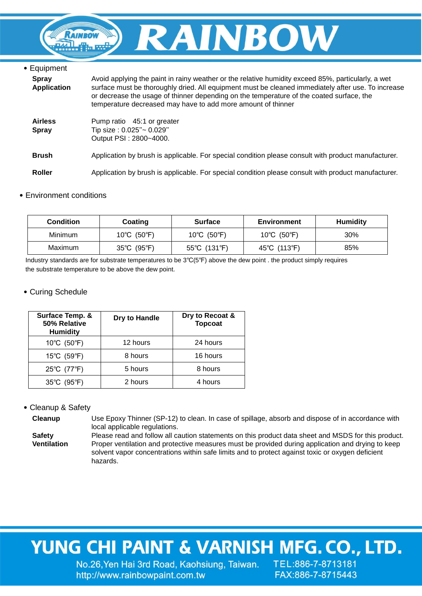

| • Equipment                        |                                                                                                                                                                                                                                                                                                                                                                      |
|------------------------------------|----------------------------------------------------------------------------------------------------------------------------------------------------------------------------------------------------------------------------------------------------------------------------------------------------------------------------------------------------------------------|
| <b>Spray</b><br><b>Application</b> | Avoid applying the paint in rainy weather or the relative humidity exceed 85%, particularly, a wet<br>surface must be thoroughly dried. All equipment must be cleaned immediately after use. To increase<br>or decrease the usage of thinner depending on the temperature of the coated surface, the<br>temperature decreased may have to add more amount of thinner |
| <b>Airless</b><br><b>Spray</b>     | Pump ratio 45:1 or greater<br>Tip size : 0.025"~ 0.029"<br>Output PSI: 2800~4000.                                                                                                                                                                                                                                                                                    |
| <b>Brush</b>                       | Application by brush is applicable. For special condition please consult with product manufacturer.                                                                                                                                                                                                                                                                  |
| <b>Roller</b>                      | Application by brush is applicable. For special condition please consult with product manufacturer.                                                                                                                                                                                                                                                                  |

#### ˙Environment conditions

| Condition      | Coating                          | <b>Surface</b> | Environment  | <b>Humidity</b> |
|----------------|----------------------------------|----------------|--------------|-----------------|
| <b>Minimum</b> | 10°C (50°F)                      | 10°C (50°F)    | 10°C (50°F)  | 30%             |
| Maximum        | $35^{\circ}$ C (95 $^{\circ}$ F) | 55°C (131°F)   | 45°C (113°F) | 85%             |

Industry standards are for substrate temperatures to be 3℃(5℉) above the dew point . the product simply requires the substrate temperature to be above the dew point.

### ˙Curing Schedule

| Surface Temp. &<br>50% Relative<br><b>Humidity</b> | Dry to Handle | Dry to Recoat &<br><b>Topcoat</b> |
|----------------------------------------------------|---------------|-----------------------------------|
| 10°C (50°F)                                        | 12 hours      | 24 hours                          |
| 15°C (59°F)                                        | 8 hours       | 16 hours                          |
| 25°C (77°F)                                        | 5 hours       | 8 hours                           |
| 35°C (95°F)                                        | 2 hours       | 4 hours                           |

### ˙Cleanup & Safety

**Cleanup** Use Epoxy Thinner (SP-12) to clean. In case of spillage, absorb and dispose of in accordance with local applicable regulations.

**Safety Ventilation** Please read and follow all caution statements on this product data sheet and MSDS for this product. Proper ventilation and protective measures must be provided during application and drying to keep solvent vapor concentrations within safe limits and to protect against toxic or oxygen deficient hazards.

# YUNG CHI PAINT & VARNISH MFG. CO., LTD.

No.26, Yen Hai 3rd Road, Kaohsiung, Taiwan. TEL:886-7-8713181 http://www.rainbowpaint.com.tw

FAX:886-7-8715443